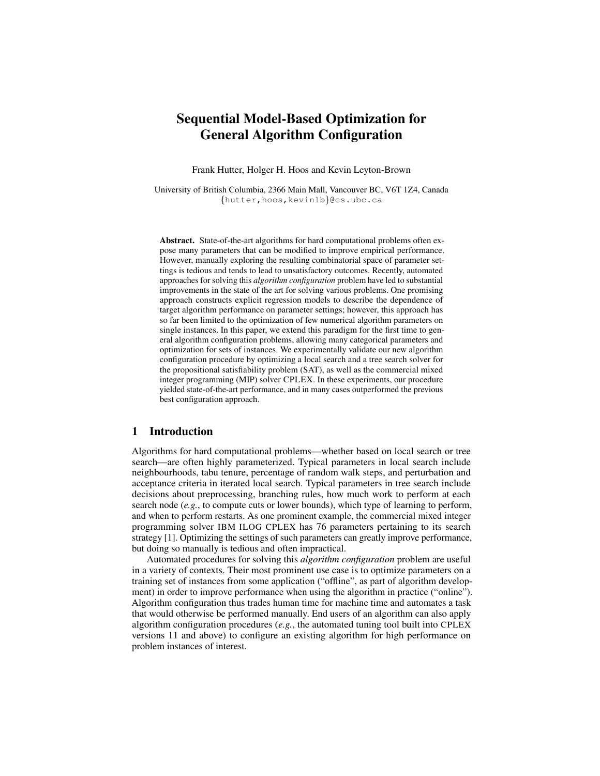# Sequential Model-Based Optimization for General Algorithm Configuration

Frank Hutter, Holger H. Hoos and Kevin Leyton-Brown

University of British Columbia, 2366 Main Mall, Vancouver BC, V6T 1Z4, Canada {hutter,hoos,kevinlb}@cs.ubc.ca

Abstract. State-of-the-art algorithms for hard computational problems often expose many parameters that can be modified to improve empirical performance. However, manually exploring the resulting combinatorial space of parameter settings is tedious and tends to lead to unsatisfactory outcomes. Recently, automated approaches for solving this *algorithm configuration* problem have led to substantial improvements in the state of the art for solving various problems. One promising approach constructs explicit regression models to describe the dependence of target algorithm performance on parameter settings; however, this approach has so far been limited to the optimization of few numerical algorithm parameters on single instances. In this paper, we extend this paradigm for the first time to general algorithm configuration problems, allowing many categorical parameters and optimization for sets of instances. We experimentally validate our new algorithm configuration procedure by optimizing a local search and a tree search solver for the propositional satisfiability problem (SAT), as well as the commercial mixed integer programming (MIP) solver CPLEX. In these experiments, our procedure yielded state-of-the-art performance, and in many cases outperformed the previous best configuration approach.

## 1 Introduction

Algorithms for hard computational problems—whether based on local search or tree search—are often highly parameterized. Typical parameters in local search include neighbourhoods, tabu tenure, percentage of random walk steps, and perturbation and acceptance criteria in iterated local search. Typical parameters in tree search include decisions about preprocessing, branching rules, how much work to perform at each search node (*e.g.*, to compute cuts or lower bounds), which type of learning to perform, and when to perform restarts. As one prominent example, the commercial mixed integer programming solver IBM ILOG CPLEX has 76 parameters pertaining to its search strategy [1]. Optimizing the settings of such parameters can greatly improve performance, but doing so manually is tedious and often impractical.

Automated procedures for solving this *algorithm configuration* problem are useful in a variety of contexts. Their most prominent use case is to optimize parameters on a training set of instances from some application ("offline", as part of algorithm development) in order to improve performance when using the algorithm in practice ("online"). Algorithm configuration thus trades human time for machine time and automates a task that would otherwise be performed manually. End users of an algorithm can also apply algorithm configuration procedures (*e.g.*, the automated tuning tool built into CPLEX versions 11 and above) to configure an existing algorithm for high performance on problem instances of interest.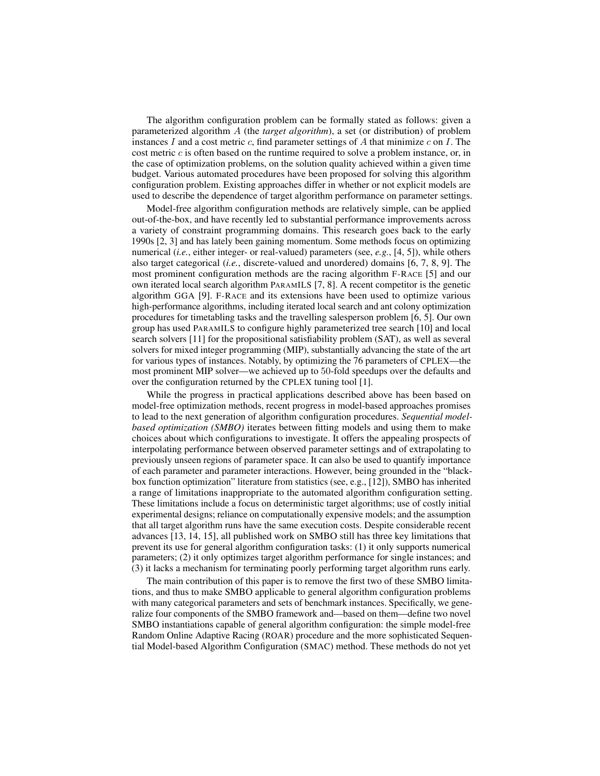The algorithm configuration problem can be formally stated as follows: given a parameterized algorithm A (the *target algorithm*), a set (or distribution) of problem instances I and a cost metric c, find parameter settings of A that minimize c on I. The cost metric c is often based on the runtime required to solve a problem instance, or, in the case of optimization problems, on the solution quality achieved within a given time budget. Various automated procedures have been proposed for solving this algorithm configuration problem. Existing approaches differ in whether or not explicit models are used to describe the dependence of target algorithm performance on parameter settings.

Model-free algorithm configuration methods are relatively simple, can be applied out-of-the-box, and have recently led to substantial performance improvements across a variety of constraint programming domains. This research goes back to the early 1990s [2, 3] and has lately been gaining momentum. Some methods focus on optimizing numerical (*i.e.*, either integer- or real-valued) parameters (see, *e.g.*, [4, 5]), while others also target categorical (*i.e.*, discrete-valued and unordered) domains [6, 7, 8, 9]. The most prominent configuration methods are the racing algorithm F-RACE [5] and our own iterated local search algorithm PARAMILS [7, 8]. A recent competitor is the genetic algorithm GGA [9]. F-RACE and its extensions have been used to optimize various high-performance algorithms, including iterated local search and ant colony optimization procedures for timetabling tasks and the travelling salesperson problem [6, 5]. Our own group has used PARAMILS to configure highly parameterized tree search [10] and local search solvers [11] for the propositional satisfiability problem (SAT), as well as several solvers for mixed integer programming (MIP), substantially advancing the state of the art for various types of instances. Notably, by optimizing the 76 parameters of CPLEX—the most prominent MIP solver—we achieved up to 50-fold speedups over the defaults and over the configuration returned by the CPLEX tuning tool [1].

While the progress in practical applications described above has been based on model-free optimization methods, recent progress in model-based approaches promises to lead to the next generation of algorithm configuration procedures. *Sequential modelbased optimization (SMBO)* iterates between fitting models and using them to make choices about which configurations to investigate. It offers the appealing prospects of interpolating performance between observed parameter settings and of extrapolating to previously unseen regions of parameter space. It can also be used to quantify importance of each parameter and parameter interactions. However, being grounded in the "blackbox function optimization" literature from statistics (see, e.g., [12]), SMBO has inherited a range of limitations inappropriate to the automated algorithm configuration setting. These limitations include a focus on deterministic target algorithms; use of costly initial experimental designs; reliance on computationally expensive models; and the assumption that all target algorithm runs have the same execution costs. Despite considerable recent advances [13, 14, 15], all published work on SMBO still has three key limitations that prevent its use for general algorithm configuration tasks: (1) it only supports numerical parameters; (2) it only optimizes target algorithm performance for single instances; and (3) it lacks a mechanism for terminating poorly performing target algorithm runs early.

The main contribution of this paper is to remove the first two of these SMBO limitations, and thus to make SMBO applicable to general algorithm configuration problems with many categorical parameters and sets of benchmark instances. Specifically, we generalize four components of the SMBO framework and—based on them—define two novel SMBO instantiations capable of general algorithm configuration: the simple model-free Random Online Adaptive Racing (ROAR) procedure and the more sophisticated Sequential Model-based Algorithm Configuration (SMAC) method. These methods do not yet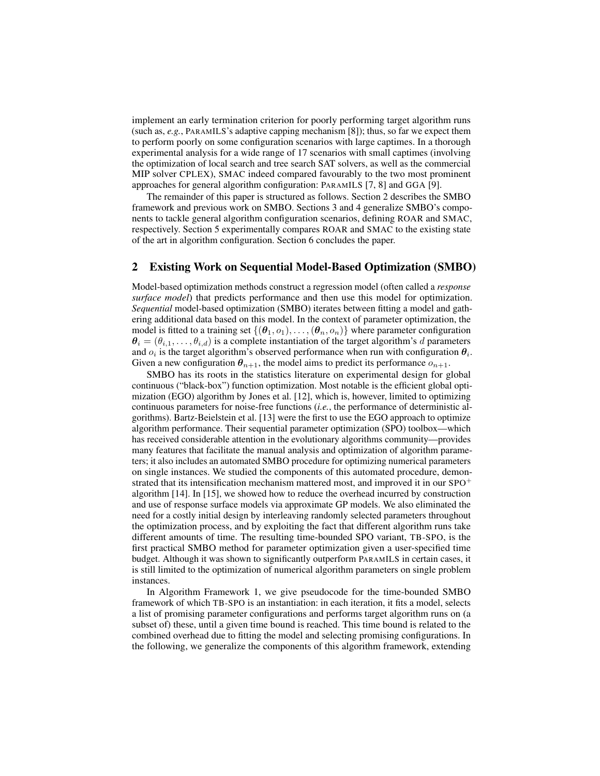implement an early termination criterion for poorly performing target algorithm runs (such as, *e.g.*, PARAMILS's adaptive capping mechanism [8]); thus, so far we expect them to perform poorly on some configuration scenarios with large captimes. In a thorough experimental analysis for a wide range of 17 scenarios with small captimes (involving the optimization of local search and tree search SAT solvers, as well as the commercial MIP solver CPLEX), SMAC indeed compared favourably to the two most prominent approaches for general algorithm configuration: PARAMILS [7, 8] and GGA [9].

The remainder of this paper is structured as follows. Section 2 describes the SMBO framework and previous work on SMBO. Sections 3 and 4 generalize SMBO's components to tackle general algorithm configuration scenarios, defining ROAR and SMAC, respectively. Section 5 experimentally compares ROAR and SMAC to the existing state of the art in algorithm configuration. Section 6 concludes the paper.

## 2 Existing Work on Sequential Model-Based Optimization (SMBO)

Model-based optimization methods construct a regression model (often called a *response surface model*) that predicts performance and then use this model for optimization. *Sequential* model-based optimization (SMBO) iterates between fitting a model and gathering additional data based on this model. In the context of parameter optimization, the model is fitted to a training set  $\{(\theta_1, o_1), \ldots, (\theta_n, o_n)\}\$  where parameter configuration  $\theta_i = (\theta_{i,1}, \dots, \theta_{i,d})$  is a complete instantiation of the target algorithm's d parameters and  $o_i$  is the target algorithm's observed performance when run with configuration  $\theta_i$ . Given a new configuration  $\theta_{n+1}$ , the model aims to predict its performance  $o_{n+1}$ .

SMBO has its roots in the statistics literature on experimental design for global continuous ("black-box") function optimization. Most notable is the efficient global optimization (EGO) algorithm by Jones et al. [12], which is, however, limited to optimizing continuous parameters for noise-free functions (*i.e.*, the performance of deterministic algorithms). Bartz-Beielstein et al. [13] were the first to use the EGO approach to optimize algorithm performance. Their sequential parameter optimization (SPO) toolbox—which has received considerable attention in the evolutionary algorithms community—provides many features that facilitate the manual analysis and optimization of algorithm parameters; it also includes an automated SMBO procedure for optimizing numerical parameters on single instances. We studied the components of this automated procedure, demonstrated that its intensification mechanism mattered most, and improved it in our  $SPO<sup>+</sup>$ algorithm [14]. In [15], we showed how to reduce the overhead incurred by construction and use of response surface models via approximate GP models. We also eliminated the need for a costly initial design by interleaving randomly selected parameters throughout the optimization process, and by exploiting the fact that different algorithm runs take different amounts of time. The resulting time-bounded SPO variant, TB-SPO, is the first practical SMBO method for parameter optimization given a user-specified time budget. Although it was shown to significantly outperform PARAMILS in certain cases, it is still limited to the optimization of numerical algorithm parameters on single problem instances.

In Algorithm Framework 1, we give pseudocode for the time-bounded SMBO framework of which TB-SPO is an instantiation: in each iteration, it fits a model, selects a list of promising parameter configurations and performs target algorithm runs on (a subset of) these, until a given time bound is reached. This time bound is related to the combined overhead due to fitting the model and selecting promising configurations. In the following, we generalize the components of this algorithm framework, extending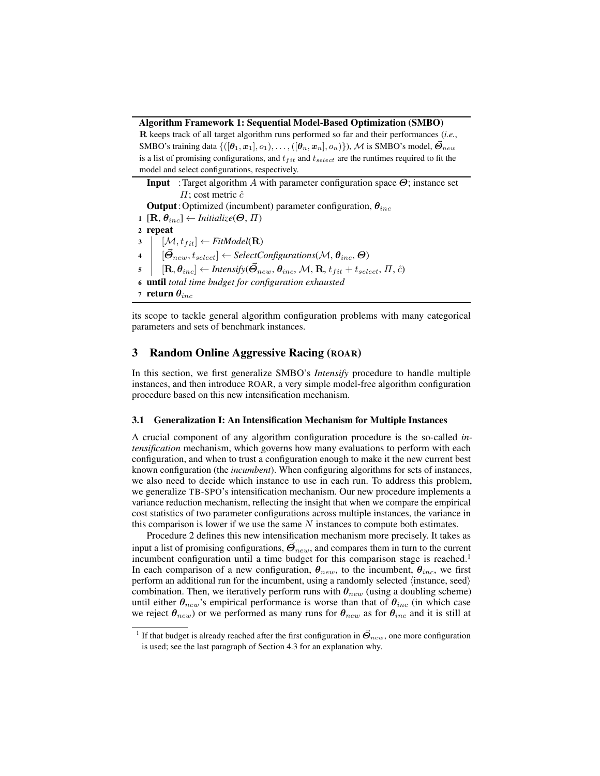Algorithm Framework 1: Sequential Model-Based Optimization (SMBO)

R keeps track of all target algorithm runs performed so far and their performances (*i.e.*, SMBO's training data  $\{([\theta_1, x_1], o_1), \ldots, ([\theta_n, x_n], o_n)\}\)$ , M is SMBO's model,  $\vec{\Theta}_{new}$ is a list of promising configurations, and  $t_{fit}$  and  $t_{select}$  are the runtimes required to fit the model and select configurations, respectively.

**Input** :Target algorithm A with parameter configuration space  $\Theta$ ; instance set  $\Pi$ ; cost metric  $\hat{c}$ **Output:** Optimized (incumbent) parameter configuration,  $\theta_{inc}$ 1  $[\mathbf{R}, \theta_{inc}] \leftarrow \text{Initialize}( \Theta, \Pi)$ 2 repeat  $3 \mid [\mathcal{M}, t_{fit}] \leftarrow FitModel(\mathbf{R})$  $\begin{equation} \mathcal{A} \end{equation} \begin{equation} \left\{ \vec{\Theta}_{new}, t_{select} \right\} \leftarrow SelectConfigurations(\mathcal{M}, \theta_{inc}, \Theta) \end{equation}$  $\mathbf{s} \quad \big\vert \quad [\mathbf{R}, \bm{\theta}_{inc}] \leftarrow$  Intensify $(\vec{\bm{\Theta}}_{new}, \bm{\theta}_{inc}, \mathcal{M}, \mathbf{R}, t_{fit}+t_{select}, \mathit{\Pi}, \hat{c})$ <sup>6</sup> until *total time budget for configuration exhausted* 7 return  $\theta_{inc}$ 

its scope to tackle general algorithm configuration problems with many categorical parameters and sets of benchmark instances.

#### 3 Random Online Aggressive Racing (ROAR)

In this section, we first generalize SMBO's *Intensify* procedure to handle multiple instances, and then introduce ROAR, a very simple model-free algorithm configuration procedure based on this new intensification mechanism.

#### 3.1 Generalization I: An Intensification Mechanism for Multiple Instances

A crucial component of any algorithm configuration procedure is the so-called *intensification* mechanism, which governs how many evaluations to perform with each configuration, and when to trust a configuration enough to make it the new current best known configuration (the *incumbent*). When configuring algorithms for sets of instances, we also need to decide which instance to use in each run. To address this problem, we generalize TB-SPO's intensification mechanism. Our new procedure implements a variance reduction mechanism, reflecting the insight that when we compare the empirical cost statistics of two parameter configurations across multiple instances, the variance in this comparison is lower if we use the same  $N$  instances to compute both estimates.

Procedure 2 defines this new intensification mechanism more precisely. It takes as input a list of promising configurations,  $\vec{\mathcal{O}}_{new}$ , and compares them in turn to the current incumbent configuration until a time budget for this comparison stage is reached.<sup>1</sup> In each comparison of a new configuration,  $\theta_{new}$ , to the incumbent,  $\theta_{inc}$ , we first perform an additional run for the incumbent, using a randomly selected (instance, seed) combination. Then, we iteratively perform runs with  $\theta_{new}$  (using a doubling scheme) until either  $\theta_{new}$ 's empirical performance is worse than that of  $\theta_{inc}$  (in which case we reject  $\theta_{new}$ ) or we performed as many runs for  $\theta_{new}$  as for  $\theta_{inc}$  and it is still at

<sup>&</sup>lt;sup>1</sup> If that budget is already reached after the first configuration in  $\vec{\Theta}_{new}$ , one more configuration is used; see the last paragraph of Section 4.3 for an explanation why.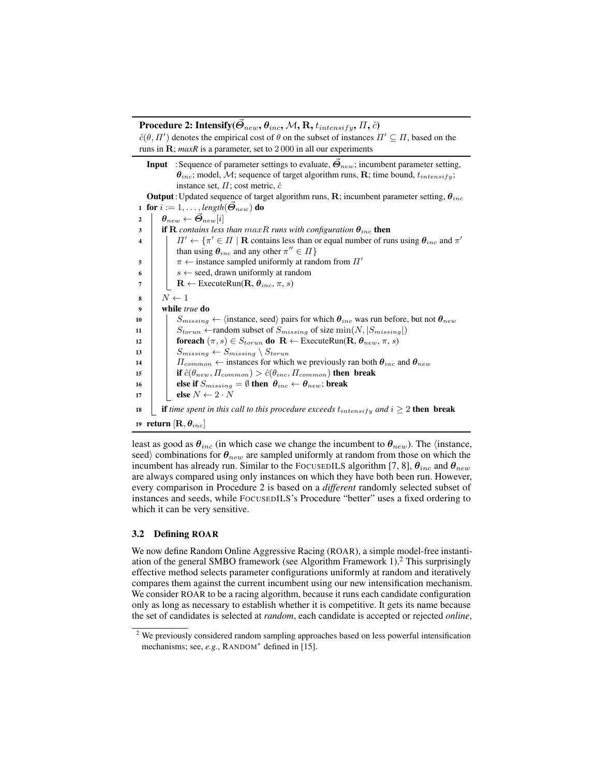Procedure 2: Intensify $(\vec{\mathcal{O}}_{new},\theta_{inc},\mathcal{M},\text{R},t_{intensity},\mathit{\Pi},\hat{c})$ 

 $\hat{c}(\theta, \Pi')$  denotes the empirical cost of  $\theta$  on the subset of instances  $\Pi' \subseteq \Pi$ , based on the runs in R; *maxR* is a parameter, set to 2 000 in all our experiments

**Input** : Sequence of parameter settings to evaluate,  $\vec{\Theta}_{new}$ ; incumbent parameter setting,  $\theta_{inc}$ ; model, M; sequence of target algorithm runs, R; time bound,  $t_{intensity}$ ; instance set,  $\Pi$ ; cost metric,  $\hat{c}$ **Output**: Updated sequence of target algorithm runs, R; incumbent parameter setting,  $\theta_{inc}$ 1 for  $i := 1, \ldots$ , *length* $(\Theta_{new})$  do 2  $\theta_{new} \leftarrow \boldsymbol{\Theta}_{new}[i]$ 3 **if R** contains less than  $maxR$  runs with configuration  $\theta_{inc}$  then  $\mathcal{H} = \left\{ \begin{array}{l l} 1 & \mathrm{if} \; l \in \mathcal{I} \mid \mathbf{R} \text{ contains less than or equal number of runs using } \boldsymbol{\theta}_{inc} \text{ and } \pi' \end{array} \right.$ than using  $\theta_{inc}$  and any other  $\pi'' \in \Pi$ }  $\begin{array}{c|c} \n\mathbf{5} & \n\end{array}$   $\begin{array}{c} \n\mathbf{7} \leftarrow \mathbf{7} + \mathbf{7} \quad \mathbf{8} \quad \mathbf{8} \quad \mathbf{9} \quad \mathbf{1} \quad \mathbf{1} \quad \mathbf{1} \quad \mathbf{1} \quad \mathbf{1} \quad \mathbf{1} \quad \mathbf{1} \quad \mathbf{1} \quad \mathbf{1} \quad \mathbf{1} \quad \mathbf{1} \quad \mathbf{1} \quad \mathbf{1} \quad \mathbf{1} \quad \mathbf{1} \quad \mathbf{1} \quad \mathbf{1$ 6  $\vert$   $s \leftarrow$  seed, drawn uniformly at random 7 | R ← ExecuteRun(R,  $\theta_{inc}, \pi, s$ )  $\begin{array}{c|c} \mathbf{s} & N \leftarrow 1 \end{array}$ <sup>9</sup> while *true* do 10  $|$   $S_{missing} \leftarrow$  {instance, seed} pairs for which  $\theta_{inc}$  was run before, but not  $\theta_{new}$ 11  $\left| S_{torun} \leftarrow$  random subset of  $S_{missing}$  of size  $\min(N, |S_{missing}|)$ 12 **foreach**  $(\pi, s) \in S_{torun}$  do  $\mathbf{R} \leftarrow$  ExecuteRun( $\mathbf{R}, \theta_{new}, \pi, s$ ) 13  $\mid \cdot \mid S_{missing} \leftarrow S_{missing} \setminus S_{torun}$ 14  $\left| \right|$   $\left| \right|$   $\left| \right|$   $\left| \right|$   $\left| \right|$   $\left| \right|$   $\left| \right|$   $\left| \right|$   $\left| \right|$   $\left| \right|$   $\left| \right|$   $\left| \right|$   $\left| \right|$   $\left| \right|$   $\left| \right|$   $\left| \right|$   $\left| \right|$   $\left| \right|$   $\left| \right|$   $\left| \right|$   $\left| \right|$   $\left| \right|$   $\left| \right|$   $\left| \right|$   $\$ 15 **if**  $\hat{c}(\theta_{new}, \Pi_{common}) > \hat{c}(\theta_{inc}, \Pi_{common})$  then break 16 **else if**  $S_{missing} = \emptyset$  then  $\theta_{inc} \leftarrow \theta_{new}$ ; break 17 **else**  $N \leftarrow 2 \cdot N$ 18 **if** *time spent in this call to this procedure exceeds*  $t_{intensity}$  *and*  $i \geq 2$  **then break** 19 return  $[\mathbf{R}, \theta_{inc}]$ 

least as good as  $\theta_{inc}$  (in which case we change the incumbent to  $\theta_{new}$ ). The (instance, seed) combinations for  $\theta_{new}$  are sampled uniformly at random from those on which the incumbent has already run. Similar to the FOCUSEDILS algorithm [7, 8],  $\theta_{inc}$  and  $\theta_{new}$ are always compared using only instances on which they have both been run. However, every comparison in Procedure 2 is based on a *different* randomly selected subset of instances and seeds, while FOCUSEDILS's Procedure "better" uses a fixed ordering to which it can be very sensitive.

#### 3.2 Defining ROAR

We now define Random Online Aggressive Racing (ROAR), a simple model-free instantiation of the general SMBO framework (see Algorithm Framework  $1$ ).<sup>2</sup> This surprisingly effective method selects parameter configurations uniformly at random and iteratively compares them against the current incumbent using our new intensification mechanism. We consider ROAR to be a racing algorithm, because it runs each candidate configuration only as long as necessary to establish whether it is competitive. It gets its name because the set of candidates is selected at *random*, each candidate is accepted or rejected *online*,

<sup>&</sup>lt;sup>2</sup> We previously considered random sampling approaches based on less powerful intensification mechanisms; see, e.g., RANDOM<sup>\*</sup> defined in [15].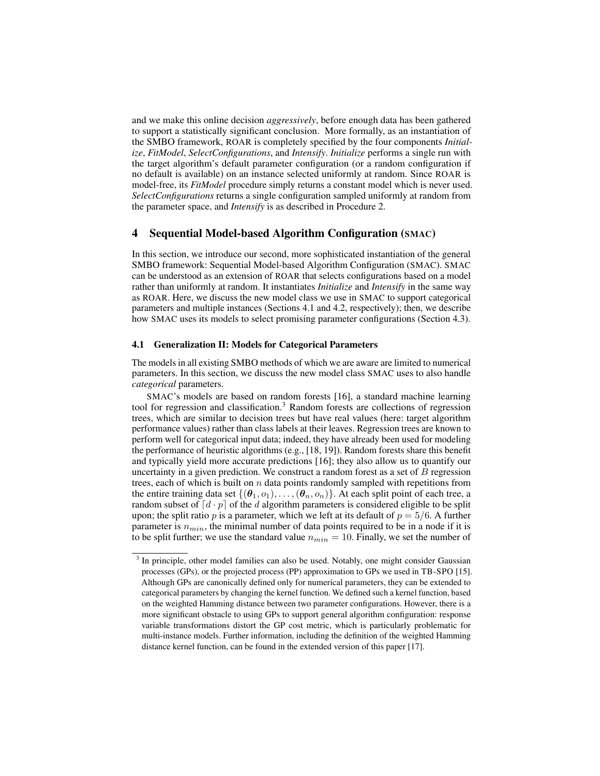and we make this online decision *aggressively*, before enough data has been gathered to support a statistically significant conclusion. More formally, as an instantiation of the SMBO framework, ROAR is completely specified by the four components *Initialize*, *FitModel*, *SelectConfigurations*, and *Intensify*. *Initialize* performs a single run with the target algorithm's default parameter configuration (or a random configuration if no default is available) on an instance selected uniformly at random. Since ROAR is model-free, its *FitModel* procedure simply returns a constant model which is never used. *SelectConfigurations* returns a single configuration sampled uniformly at random from the parameter space, and *Intensify* is as described in Procedure 2.

## 4 Sequential Model-based Algorithm Configuration (SMAC)

In this section, we introduce our second, more sophisticated instantiation of the general SMBO framework: Sequential Model-based Algorithm Configuration (SMAC). SMAC can be understood as an extension of ROAR that selects configurations based on a model rather than uniformly at random. It instantiates *Initialize* and *Intensify* in the same way as ROAR. Here, we discuss the new model class we use in SMAC to support categorical parameters and multiple instances (Sections 4.1 and 4.2, respectively); then, we describe how SMAC uses its models to select promising parameter configurations (Section 4.3).

## 4.1 Generalization II: Models for Categorical Parameters

The models in all existing SMBO methods of which we are aware are limited to numerical parameters. In this section, we discuss the new model class SMAC uses to also handle *categorical* parameters.

SMAC's models are based on random forests [16], a standard machine learning tool for regression and classification.<sup>3</sup> Random forests are collections of regression trees, which are similar to decision trees but have real values (here: target algorithm performance values) rather than class labels at their leaves. Regression trees are known to perform well for categorical input data; indeed, they have already been used for modeling the performance of heuristic algorithms (e.g., [18, 19]). Random forests share this benefit and typically yield more accurate predictions [16]; they also allow us to quantify our uncertainty in a given prediction. We construct a random forest as a set of  $B$  regression trees, each of which is built on  $n$  data points randomly sampled with repetitions from the entire training data set  $\{(\theta_1, o_1), \ldots, (\theta_n, o_n)\}\.$  At each split point of each tree, a random subset of  $\lceil d \cdot p \rceil$  of the d algorithm parameters is considered eligible to be split upon; the split ratio p is a parameter, which we left at its default of  $p = 5/6$ . A further parameter is  $n_{min}$ , the minimal number of data points required to be in a node if it is to be split further; we use the standard value  $n_{min} = 10$ . Finally, we set the number of

<sup>&</sup>lt;sup>3</sup> In principle, other model families can also be used. Notably, one might consider Gaussian processes (GPs), or the projected process (PP) approximation to GPs we used in TB-SPO [15]. Although GPs are canonically defined only for numerical parameters, they can be extended to categorical parameters by changing the kernel function. We defined such a kernel function, based on the weighted Hamming distance between two parameter configurations. However, there is a more significant obstacle to using GPs to support general algorithm configuration: response variable transformations distort the GP cost metric, which is particularly problematic for multi-instance models. Further information, including the definition of the weighted Hamming distance kernel function, can be found in the extended version of this paper [17].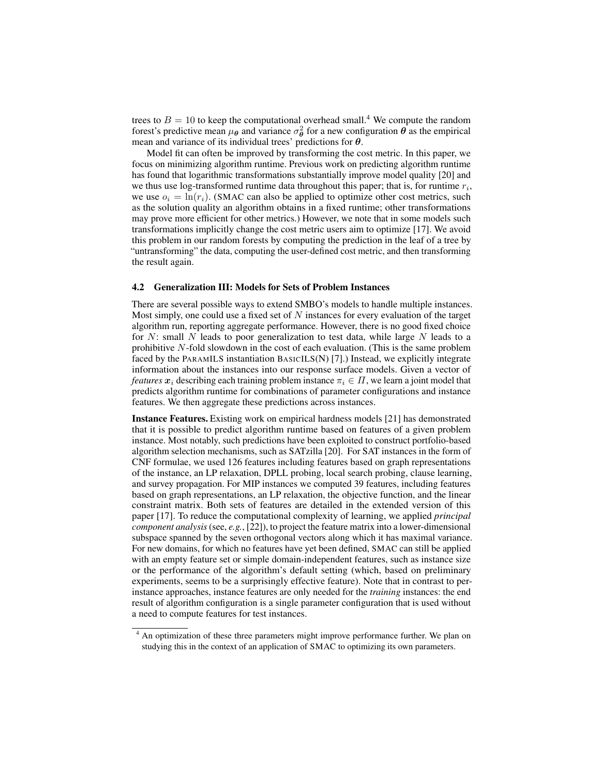trees to  $B = 10$  to keep the computational overhead small.<sup>4</sup> We compute the random forest's predictive mean  $\mu_{\theta}$  and variance  $\sigma_{\theta}^2$  for a new configuration  $\theta$  as the empirical mean and variance of its individual trees' predictions for  $\theta$ .

Model fit can often be improved by transforming the cost metric. In this paper, we focus on minimizing algorithm runtime. Previous work on predicting algorithm runtime has found that logarithmic transformations substantially improve model quality [20] and we thus use log-transformed runtime data throughout this paper; that is, for runtime  $r_i$ , we use  $o_i = \ln(r_i)$ . (SMAC can also be applied to optimize other cost metrics, such as the solution quality an algorithm obtains in a fixed runtime; other transformations may prove more efficient for other metrics.) However, we note that in some models such transformations implicitly change the cost metric users aim to optimize [17]. We avoid this problem in our random forests by computing the prediction in the leaf of a tree by "untransforming" the data, computing the user-defined cost metric, and then transforming the result again.

#### 4.2 Generalization III: Models for Sets of Problem Instances

There are several possible ways to extend SMBO's models to handle multiple instances. Most simply, one could use a fixed set of  $N$  instances for every evaluation of the target algorithm run, reporting aggregate performance. However, there is no good fixed choice for  $N$ : small N leads to poor generalization to test data, while large N leads to a prohibitive N-fold slowdown in the cost of each evaluation. (This is the same problem faced by the PARAMILS instantiation BASICILS(N) [7].) Instead, we explicitly integrate information about the instances into our response surface models. Given a vector of *features*  $x_i$  describing each training problem instance  $\pi_i \in \Pi$ , we learn a joint model that predicts algorithm runtime for combinations of parameter configurations and instance features. We then aggregate these predictions across instances.

Instance Features. Existing work on empirical hardness models [21] has demonstrated that it is possible to predict algorithm runtime based on features of a given problem instance. Most notably, such predictions have been exploited to construct portfolio-based algorithm selection mechanisms, such as SATzilla [20]. For SAT instances in the form of CNF formulae, we used 126 features including features based on graph representations of the instance, an LP relaxation, DPLL probing, local search probing, clause learning, and survey propagation. For MIP instances we computed 39 features, including features based on graph representations, an LP relaxation, the objective function, and the linear constraint matrix. Both sets of features are detailed in the extended version of this paper [17]. To reduce the computational complexity of learning, we applied *principal component analysis* (see, *e.g.*, [22]), to project the feature matrix into a lower-dimensional subspace spanned by the seven orthogonal vectors along which it has maximal variance. For new domains, for which no features have yet been defined, SMAC can still be applied with an empty feature set or simple domain-independent features, such as instance size or the performance of the algorithm's default setting (which, based on preliminary experiments, seems to be a surprisingly effective feature). Note that in contrast to perinstance approaches, instance features are only needed for the *training* instances: the end result of algorithm configuration is a single parameter configuration that is used without a need to compute features for test instances.

<sup>&</sup>lt;sup>4</sup> An optimization of these three parameters might improve performance further. We plan on studying this in the context of an application of SMAC to optimizing its own parameters.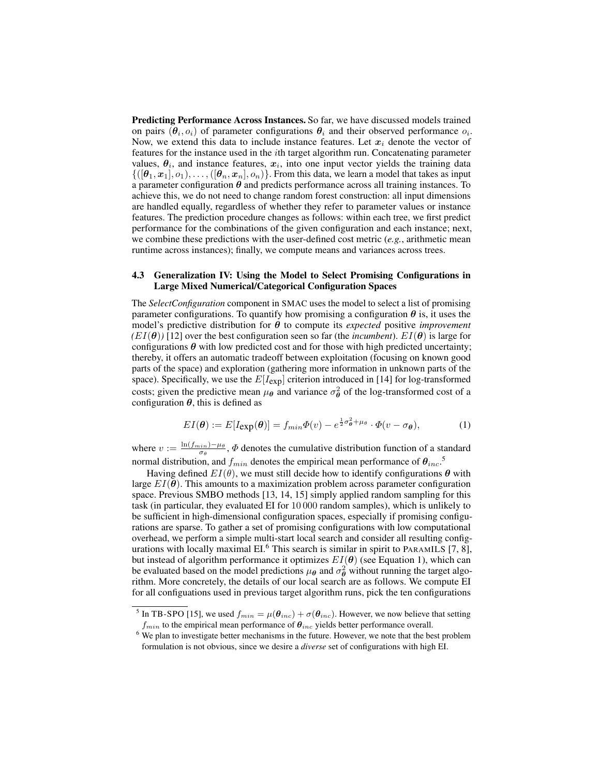Predicting Performance Across Instances. So far, we have discussed models trained on pairs  $(\theta_i, o_i)$  of parameter configurations  $\theta_i$  and their observed performance  $o_i$ . Now, we extend this data to include instance features. Let  $x_i$  denote the vector of features for the instance used in the ith target algorithm run. Concatenating parameter values,  $\theta_i$ , and instance features,  $x_i$ , into one input vector yields the training data  $\{([\theta_1, x_1], o_1), \ldots, ([\theta_n, x_n], o_n)\}.$  From this data, we learn a model that takes as input a parameter configuration  $\theta$  and predicts performance across all training instances. To achieve this, we do not need to change random forest construction: all input dimensions are handled equally, regardless of whether they refer to parameter values or instance features. The prediction procedure changes as follows: within each tree, we first predict performance for the combinations of the given configuration and each instance; next, we combine these predictions with the user-defined cost metric (*e.g.*, arithmetic mean runtime across instances); finally, we compute means and variances across trees.

#### 4.3 Generalization IV: Using the Model to Select Promising Configurations in Large Mixed Numerical/Categorical Configuration Spaces

The *SelectConfiguration* component in SMAC uses the model to select a list of promising parameter configurations. To quantify how promising a configuration  $\theta$  is, it uses the model's predictive distribution for θ to compute its *expected* positive *improvement*  $(EI(\theta))$  [12] over the best configuration seen so far (the *incumbent*).  $EI(\theta)$  is large for configurations  $\theta$  with low predicted cost and for those with high predicted uncertainty; thereby, it offers an automatic tradeoff between exploitation (focusing on known good parts of the space) and exploration (gathering more information in unknown parts of the space). Specifically, we use the  $E[I_{exp}]$  criterion introduced in [14] for log-transformed costs; given the predictive mean  $\mu_{\theta}$  and variance  $\sigma_{\theta}^2$  of the log-transformed cost of a configuration  $\theta$ , this is defined as

$$
EI(\boldsymbol{\theta}) := E[I_{\exp}(\boldsymbol{\theta})] = f_{min}\Phi(v) - e^{\frac{1}{2}\sigma_{\boldsymbol{\theta}}^2 + \mu_{\boldsymbol{\theta}}} \cdot \Phi(v - \sigma_{\boldsymbol{\theta}}),
$$
(1)

where  $v := \frac{\ln(f_{min}) - \mu_{\theta}}{\sigma_{\theta}}$  $\frac{\sinh(-\mu)}{\sigma_\theta}$ ,  $\Phi$  denotes the cumulative distribution function of a standard normal distribution, and  $f_{min}$  denotes the empirical mean performance of  $\theta_{inc}$ .<sup>5</sup>

Having defined  $EI(\theta)$ , we must still decide how to identify configurations  $\theta$  with large  $EI(\theta)$ . This amounts to a maximization problem across parameter configuration space. Previous SMBO methods [13, 14, 15] simply applied random sampling for this task (in particular, they evaluated EI for 10 000 random samples), which is unlikely to be sufficient in high-dimensional configuration spaces, especially if promising configurations are sparse. To gather a set of promising configurations with low computational overhead, we perform a simple multi-start local search and consider all resulting configurations with locally maximal  $EL^6$  This search is similar in spirit to PARAMILS [7, 8], but instead of algorithm performance it optimizes  $EI(\theta)$  (see Equation 1), which can be evaluated based on the model predictions  $\mu_{\theta}$  and  $\sigma_{\theta}^2$  without running the target algorithm. More concretely, the details of our local search are as follows. We compute EI for all configuations used in previous target algorithm runs, pick the ten configurations

<sup>&</sup>lt;sup>5</sup> In TB-SPO [15], we used  $f_{min} = \mu(\theta_{inc}) + \sigma(\theta_{inc})$ . However, we now believe that setting  $f_{min}$  to the empirical mean performance of  $\theta_{inc}$  yields better performance overall.

<sup>&</sup>lt;sup>6</sup> We plan to investigate better mechanisms in the future. However, we note that the best problem formulation is not obvious, since we desire a *diverse* set of configurations with high EI.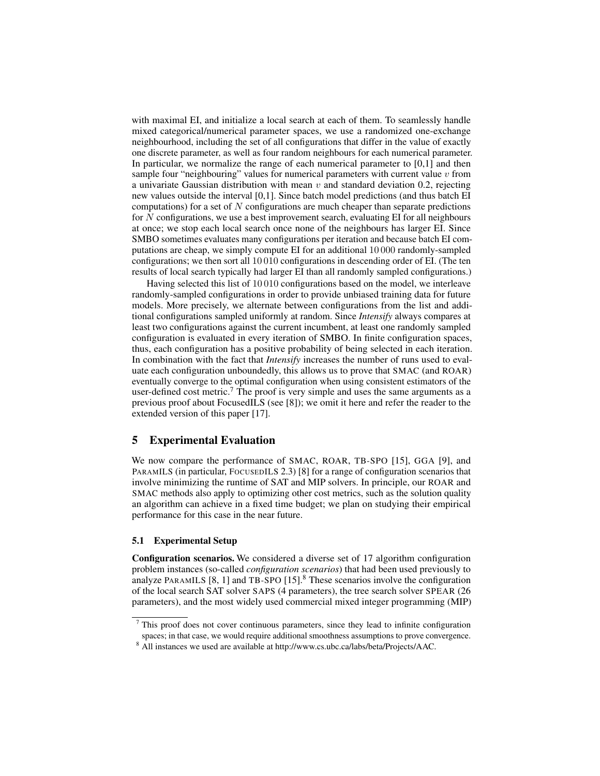with maximal EI, and initialize a local search at each of them. To seamlessly handle mixed categorical/numerical parameter spaces, we use a randomized one-exchange neighbourhood, including the set of all configurations that differ in the value of exactly one discrete parameter, as well as four random neighbours for each numerical parameter. In particular, we normalize the range of each numerical parameter to [0,1] and then sample four "neighbouring" values for numerical parameters with current value  $v$  from a univariate Gaussian distribution with mean  $v$  and standard deviation 0.2, rejecting new values outside the interval [0,1]. Since batch model predictions (and thus batch EI computations) for a set of  $N$  configurations are much cheaper than separate predictions for  $N$  configurations, we use a best improvement search, evaluating EI for all neighbours at once; we stop each local search once none of the neighbours has larger EI. Since SMBO sometimes evaluates many configurations per iteration and because batch EI computations are cheap, we simply compute EI for an additional 10 000 randomly-sampled configurations; we then sort all 10 010 configurations in descending order of EI. (The ten results of local search typically had larger EI than all randomly sampled configurations.)

Having selected this list of 10 010 configurations based on the model, we interleave randomly-sampled configurations in order to provide unbiased training data for future models. More precisely, we alternate between configurations from the list and additional configurations sampled uniformly at random. Since *Intensify* always compares at least two configurations against the current incumbent, at least one randomly sampled configuration is evaluated in every iteration of SMBO. In finite configuration spaces, thus, each configuration has a positive probability of being selected in each iteration. In combination with the fact that *Intensify* increases the number of runs used to evaluate each configuration unboundedly, this allows us to prove that SMAC (and ROAR) eventually converge to the optimal configuration when using consistent estimators of the user-defined cost metric.<sup>7</sup> The proof is very simple and uses the same arguments as a previous proof about FocusedILS (see [8]); we omit it here and refer the reader to the extended version of this paper [17].

## 5 Experimental Evaluation

We now compare the performance of SMAC, ROAR, TB-SPO [15], GGA [9], and PARAMILS (in particular, FOCUSEDILS 2.3) [8] for a range of configuration scenarios that involve minimizing the runtime of SAT and MIP solvers. In principle, our ROAR and SMAC methods also apply to optimizing other cost metrics, such as the solution quality an algorithm can achieve in a fixed time budget; we plan on studying their empirical performance for this case in the near future.

#### 5.1 Experimental Setup

Configuration scenarios. We considered a diverse set of 17 algorithm configuration problem instances (so-called *configuration scenarios*) that had been used previously to analyze PARAMILS  $[8, 1]$  and TB-SPO  $[15]$ .<sup>8</sup> These scenarios involve the configuration of the local search SAT solver SAPS (4 parameters), the tree search solver SPEAR (26 parameters), and the most widely used commercial mixed integer programming (MIP)

<sup>7</sup> This proof does not cover continuous parameters, since they lead to infinite configuration spaces; in that case, we would require additional smoothness assumptions to prove convergence.

<sup>8</sup> All instances we used are available at http://www.cs.ubc.ca/labs/beta/Projects/AAC.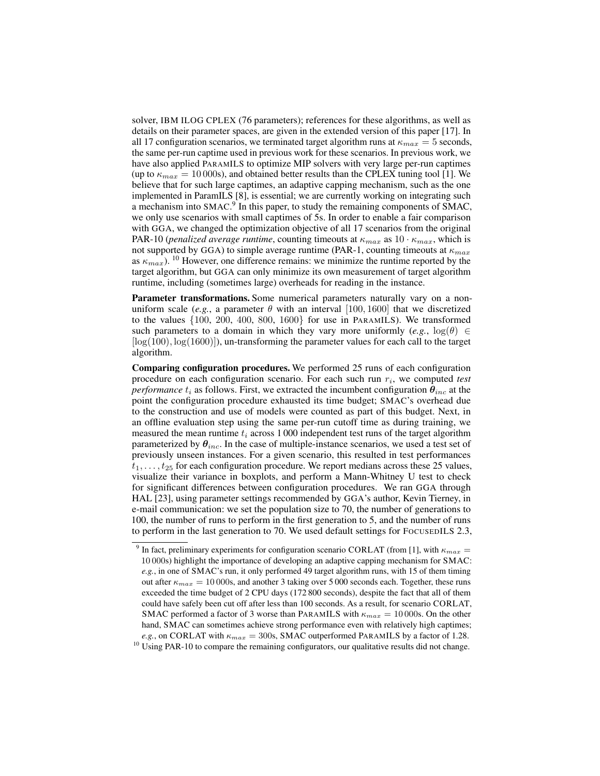solver, IBM ILOG CPLEX (76 parameters); references for these algorithms, as well as details on their parameter spaces, are given in the extended version of this paper [17]. In all 17 configuration scenarios, we terminated target algorithm runs at  $\kappa_{max} = 5$  seconds, the same per-run captime used in previous work for these scenarios. In previous work, we have also applied PARAMILS to optimize MIP solvers with very large per-run captimes (up to  $\kappa_{max} = 10\,000$ s), and obtained better results than the CPLEX tuning tool [1]. We believe that for such large captimes, an adaptive capping mechanism, such as the one implemented in ParamILS [8], is essential; we are currently working on integrating such a mechanism into SMAC.<sup>9</sup> In this paper, to study the remaining components of SMAC, we only use scenarios with small captimes of 5s. In order to enable a fair comparison with GGA, we changed the optimization objective of all 17 scenarios from the original PAR-10 (*penalized average runtime*, counting timeouts at  $\kappa_{max}$  as  $10 \cdot \kappa_{max}$ , which is not supported by GGA) to simple average runtime (PAR-1, counting timeouts at  $\kappa_{max}$ as  $\kappa_{max}$ ). <sup>10</sup> However, one difference remains: we minimize the runtime reported by the target algorithm, but GGA can only minimize its own measurement of target algorithm runtime, including (sometimes large) overheads for reading in the instance.

Parameter transformations. Some numerical parameters naturally vary on a nonuniform scale (*e.g.*, a parameter  $\theta$  with an interval [100, 1600] that we discretized to the values {100, 200, 400, 800, 1600} for use in PARAMILS). We transformed such parameters to a domain in which they vary more uniformly (*e.g.*,  $\log(\theta) \in$  $[log(100), log(1600)]$ , un-transforming the parameter values for each call to the target algorithm.

Comparing configuration procedures. We performed 25 runs of each configuration procedure on each configuration scenario. For each such run  $r_i$ , we computed *test performance*  $t_i$  as follows. First, we extracted the incumbent configuration  $\theta_{inc}$  at the point the configuration procedure exhausted its time budget; SMAC's overhead due to the construction and use of models were counted as part of this budget. Next, in an offline evaluation step using the same per-run cutoff time as during training, we measured the mean runtime  $t_i$  across 1 000 independent test runs of the target algorithm parameterized by  $\theta_{inc}$ . In the case of multiple-instance scenarios, we used a test set of previously unseen instances. For a given scenario, this resulted in test performances  $t_1, \ldots, t_{25}$  for each configuration procedure. We report medians across these 25 values, visualize their variance in boxplots, and perform a Mann-Whitney U test to check for significant differences between configuration procedures. We ran GGA through HAL [23], using parameter settings recommended by GGA's author, Kevin Tierney, in e-mail communication: we set the population size to 70, the number of generations to 100, the number of runs to perform in the first generation to 5, and the number of runs to perform in the last generation to 70. We used default settings for FOCUSEDILS 2.3,

<sup>&</sup>lt;sup>9</sup> In fact, preliminary experiments for configuration scenario CORLAT (from [1], with  $\kappa_{max} =$ 10 000s) highlight the importance of developing an adaptive capping mechanism for SMAC: *e.g.*, in one of SMAC's run, it only performed 49 target algorithm runs, with 15 of them timing out after  $\kappa_{max} = 10000$ s, and another 3 taking over 5 000 seconds each. Together, these runs exceeded the time budget of 2 CPU days (172 800 seconds), despite the fact that all of them could have safely been cut off after less than 100 seconds. As a result, for scenario CORLAT, SMAC performed a factor of 3 worse than PARAMILS with  $\kappa_{max} = 10000$ s. On the other hand, SMAC can sometimes achieve strong performance even with relatively high captimes; *e.g.*, on CORLAT with  $\kappa_{max} = 300$ s, SMAC outperformed PARAMILS by a factor of 1.28.

 $10$  Using PAR-10 to compare the remaining configurators, our qualitative results did not change.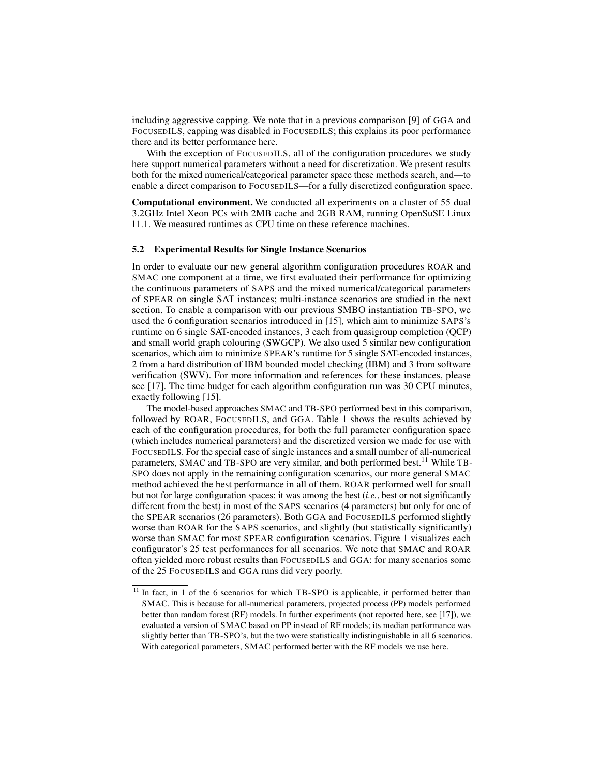including aggressive capping. We note that in a previous comparison [9] of GGA and FOCUSEDILS, capping was disabled in FOCUSEDILS; this explains its poor performance there and its better performance here.

With the exception of FOCUSEDILS, all of the configuration procedures we study here support numerical parameters without a need for discretization. We present results both for the mixed numerical/categorical parameter space these methods search, and—to enable a direct comparison to FOCUSEDILS—for a fully discretized configuration space.

Computational environment. We conducted all experiments on a cluster of 55 dual 3.2GHz Intel Xeon PCs with 2MB cache and 2GB RAM, running OpenSuSE Linux 11.1. We measured runtimes as CPU time on these reference machines.

#### 5.2 Experimental Results for Single Instance Scenarios

In order to evaluate our new general algorithm configuration procedures ROAR and SMAC one component at a time, we first evaluated their performance for optimizing the continuous parameters of SAPS and the mixed numerical/categorical parameters of SPEAR on single SAT instances; multi-instance scenarios are studied in the next section. To enable a comparison with our previous SMBO instantiation TB-SPO, we used the 6 configuration scenarios introduced in [15], which aim to minimize SAPS's runtime on 6 single SAT-encoded instances, 3 each from quasigroup completion (QCP) and small world graph colouring (SWGCP). We also used 5 similar new configuration scenarios, which aim to minimize SPEAR's runtime for 5 single SAT-encoded instances, 2 from a hard distribution of IBM bounded model checking (IBM) and 3 from software verification (SWV). For more information and references for these instances, please see [17]. The time budget for each algorithm configuration run was 30 CPU minutes, exactly following [15].

The model-based approaches SMAC and TB-SPO performed best in this comparison, followed by ROAR, FOCUSEDILS, and GGA. Table 1 shows the results achieved by each of the configuration procedures, for both the full parameter configuration space (which includes numerical parameters) and the discretized version we made for use with FOCUSEDILS. For the special case of single instances and a small number of all-numerical parameters, SMAC and TB-SPO are very similar, and both performed best.<sup>11</sup> While TB-SPO does not apply in the remaining configuration scenarios, our more general SMAC method achieved the best performance in all of them. ROAR performed well for small but not for large configuration spaces: it was among the best (*i.e.*, best or not significantly different from the best) in most of the SAPS scenarios (4 parameters) but only for one of the SPEAR scenarios (26 parameters). Both GGA and FOCUSEDILS performed slightly worse than ROAR for the SAPS scenarios, and slightly (but statistically significantly) worse than SMAC for most SPEAR configuration scenarios. Figure 1 visualizes each configurator's 25 test performances for all scenarios. We note that SMAC and ROAR often yielded more robust results than FOCUSEDILS and GGA: for many scenarios some of the 25 FOCUSEDILS and GGA runs did very poorly.

<sup>&</sup>lt;sup>11</sup> In fact, in 1 of the 6 scenarios for which TB-SPO is applicable, it performed better than SMAC. This is because for all-numerical parameters, projected process (PP) models performed better than random forest (RF) models. In further experiments (not reported here, see [17]), we evaluated a version of SMAC based on PP instead of RF models; its median performance was slightly better than TB-SPO's, but the two were statistically indistinguishable in all 6 scenarios. With categorical parameters, SMAC performed better with the RF models we use here.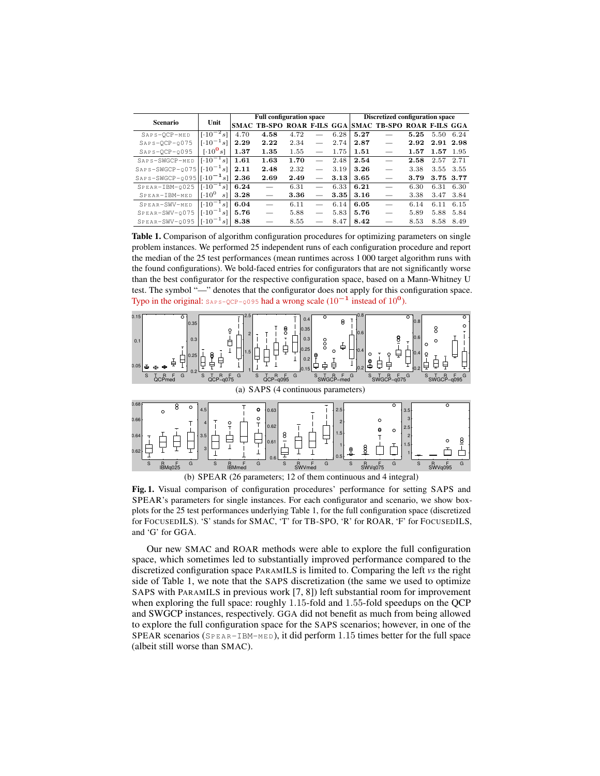| <b>Scenario</b>                       | Unit                              | <b>Full configuration space</b> |                                                       |      |   |      | <b>Discretized configuration space</b> |   |      |           |      |  |
|---------------------------------------|-----------------------------------|---------------------------------|-------------------------------------------------------|------|---|------|----------------------------------------|---|------|-----------|------|--|
|                                       |                                   |                                 | SMAC TB-SPO ROAR F-ILS GGA SMAC TB-SPO ROAR F-ILS GGA |      |   |      |                                        |   |      |           |      |  |
| SAPS-OCP-MED                          | $[10^{-2}s]$                      | 4.70                            | 4.58                                                  | 4.72 |   | 6.28 | 5.27                                   |   | 5.25 | 5.50 6.24 |      |  |
| $SAPS-OCP-0075$                       | $\lceil \cdot 10^{-1} s \rceil$   | 2.29                            | 2.22                                                  | 2.34 |   | 2.74 | 2.87                                   |   | 2.92 | 2.91 2.98 |      |  |
| $SAPS-OCP-0095$                       | $[10\text{°}s]$                   | 1.37                            | 1.35                                                  | 1.55 |   | 1.75 | 1.51                                   |   | 1.57 | 1.57      | 1.95 |  |
| SAPS-SWGCP-MED                        | $\lceil \cdot 10^{-1} s \rceil$   | 1.61                            | 1.63                                                  | 1.70 |   | 2.48 | 2.54                                   |   | 2.58 | 2.57      | 2.71 |  |
| $SAPS-SWGCP-Q075$ [ $\cdot10^{-1}s$ ] |                                   | 2.11                            | 2.48                                                  | 2.32 |   | 3.19 | 3.26                                   | – | 3.38 | 3.55      | 3.55 |  |
| $SAPs-SWGCP-0095$ [ $\cdot10^{-1}s$ ] |                                   | 2.36                            | 2.69                                                  | 2.49 |   | 3.13 | 3.65                                   |   | 3.79 | 3.75 3.77 |      |  |
| SPEAR-IBM-0025                        | $\lceil \cdot 10^{-1} s \rceil$   | 6.24                            |                                                       | 6.31 |   | 6.33 | 6.21                                   |   | 6.30 | 6.31      | 6.30 |  |
| SPEAR-IBM-MED                         | $\lceil \cdot 10^{0} \rceil$<br>s | 3.28                            |                                                       | 3.36 |   | 3.35 | 3.16                                   |   | 3.38 | 3.47      | 3.84 |  |
| SPEAR-SWV-MED                         | $[.10^{-1}s]$                     | 6.04                            |                                                       | 6.11 |   | 6.14 | 6.05                                   |   | 6.14 | 6.11      | 6.15 |  |
| SPEAR-SWV-0075                        | $[.10^{-1} s]$                    | 5.76                            | —                                                     | 5.88 | — | 5.83 | 5.76                                   |   | 5.89 | 5.88      | 5.84 |  |
| SPEAR-SWV-0095                        | $\lceil \cdot 10^{-1} s \rceil$   | 8.38                            |                                                       | 8.55 |   | 8.47 | 8.42                                   |   | 8.53 | 8.58      | 8.49 |  |

Table 1. Comparison of algorithm configuration procedures for optimizing parameters on single problem instances. We performed 25 independent runs of each configuration procedure and report the median of the 25 test performances (mean runtimes across 1 000 target algorithm runs with the found configurations). We bold-faced entries for configurators that are not significantly worse than the best configurator for the respective configuration space, based on a Mann-Whitney U test. The symbol "—" denotes that the configurator does not apply for this configuration space. Typo in the original: SAP S-QCP-Q095 had a wrong scale ( $10^{-1}$  instead of  $10^{0}$ ).



Fig. 1. Visual comparison of configuration procedures' performance for setting SAPS and SPEAR's parameters for single instances. For each configurator and scenario, we show boxplots for the 25 test performances underlying Table 1, for the full configuration space (discretized for FOCUSEDILS). 'S' stands for SMAC, 'T' for TB-SPO, 'R' for ROAR, 'F' for FOCUSEDILS, and 'G' for GGA.

Our new SMAC and ROAR methods were able to explore the full configuration space, which sometimes led to substantially improved performance compared to the discretized configuration space PARAMILS is limited to. Comparing the left *vs* the right side of Table 1, we note that the SAPS discretization (the same we used to optimize SAPS with PARAMILS in previous work [7, 8]) left substantial room for improvement when exploring the full space: roughly 1.15-fold and 1.55-fold speedups on the QCP and SWGCP instances, respectively. GGA did not benefit as much from being allowed to explore the full configuration space for the SAPS scenarios; however, in one of the SPEAR scenarios ( $SPEAR-TBM-MED$ ), it did perform 1.15 times better for the full space (albeit still worse than SMAC).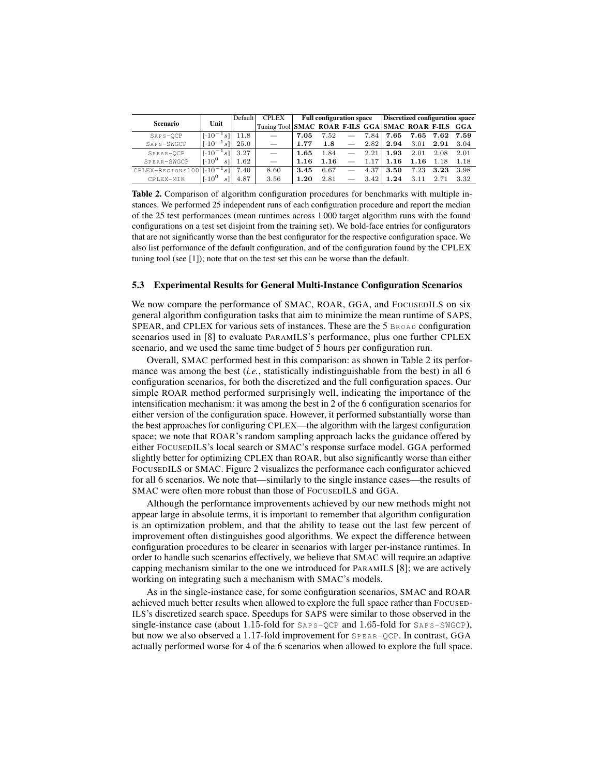| Scenario                       | Unit                              | Default | <b>CPLEX</b>                                        |      | <b>Full configuration space</b> |      | <b>Discretized configuration space</b> |           |      |      |  |
|--------------------------------|-----------------------------------|---------|-----------------------------------------------------|------|---------------------------------|------|----------------------------------------|-----------|------|------|--|
|                                |                                   |         | Tuning Tool SMAC ROAR F-ILS GGA SMAC ROAR F-ILS GGA |      |                                 |      |                                        |           |      |      |  |
| $SAPS-OCP$                     | sl<br>$1.10^{-}$                  | 11.8    |                                                     | 7.05 | 7.52                            | 7.84 | 7.65                                   | 7.65 7.62 |      | 7.59 |  |
| SAPS-SWGCP                     | $^1s$<br>$\lceil \cdot 10 \rceil$ | 25.0    |                                                     | 1.77 | 1.8                             | 2.82 | 2.94                                   | 3.01      | 2.91 | 3.04 |  |
| SPEAR-OCP                      | $(1.10^{-7})$<br> s               | 3.27    |                                                     | 1.65 | 1.84                            | 2.21 | 1.93                                   | 2.01      | 2.08 | 2.01 |  |
| SPEAR-SWGCP                    | 1.10 <sup>0</sup><br>sl           | 1.62    |                                                     | 1.16 | 1.16                            |      | 1.16                                   | 1.16      | 1.18 | 1.18 |  |
| $CPLEX-REGIONS 100$   $[.10^-$ | s                                 | 7.40    | 8.60                                                | 3.45 | 6.67                            | 4.37 | 3.50                                   | 7.23      | 3.23 | 3.98 |  |
| CPLEX-MIK                      | 1.10 <sup>0</sup><br>sl           | 4.87    | 3.56                                                | 1.20 | 2.81                            | 3.42 | 1.24                                   | 3.11      | 2.71 | 3.32 |  |

Table 2. Comparison of algorithm configuration procedures for benchmarks with multiple instances. We performed 25 independent runs of each configuration procedure and report the median of the 25 test performances (mean runtimes across 1 000 target algorithm runs with the found configurations on a test set disjoint from the training set). We bold-face entries for configurators that are not significantly worse than the best configurator for the respective configuration space. We also list performance of the default configuration, and of the configuration found by the CPLEX tuning tool (see [1]); note that on the test set this can be worse than the default.

#### 5.3 Experimental Results for General Multi-Instance Configuration Scenarios

We now compare the performance of SMAC, ROAR, GGA, and FOCUSEDILS on six general algorithm configuration tasks that aim to minimize the mean runtime of SAPS, SPEAR, and CPLEX for various sets of instances. These are the  $5$  BRO AD configuration scenarios used in [8] to evaluate PARAMILS's performance, plus one further CPLEX scenario, and we used the same time budget of 5 hours per configuration run.

Overall, SMAC performed best in this comparison: as shown in Table 2 its performance was among the best (*i.e.*, statistically indistinguishable from the best) in all 6 configuration scenarios, for both the discretized and the full configuration spaces. Our simple ROAR method performed surprisingly well, indicating the importance of the intensification mechanism: it was among the best in 2 of the 6 configuration scenarios for either version of the configuration space. However, it performed substantially worse than the best approaches for configuring CPLEX—the algorithm with the largest configuration space; we note that ROAR's random sampling approach lacks the guidance offered by either FOCUSEDILS's local search or SMAC's response surface model. GGA performed slightly better for optimizing CPLEX than ROAR, but also significantly worse than either FOCUSEDILS or SMAC. Figure 2 visualizes the performance each configurator achieved for all 6 scenarios. We note that—similarly to the single instance cases—the results of SMAC were often more robust than those of FocuseDILS and GGA.

Although the performance improvements achieved by our new methods might not appear large in absolute terms, it is important to remember that algorithm configuration is an optimization problem, and that the ability to tease out the last few percent of improvement often distinguishes good algorithms. We expect the difference between configuration procedures to be clearer in scenarios with larger per-instance runtimes. In order to handle such scenarios effectively, we believe that SMAC will require an adaptive capping mechanism similar to the one we introduced for PARAMILS [8]; we are actively working on integrating such a mechanism with SMAC's models.

As in the single-instance case, for some configuration scenarios, SMAC and ROAR achieved much better results when allowed to explore the full space rather than FOCUSED-ILS's discretized search space. Speedups for SAPS were similar to those observed in the single-instance case (about 1.15-fold for  $S_{AP} s$ -QCP and 1.65-fold for  $S_{AP} s$ -SWGCP), but now we also observed a 1.17-fold improvement for SPEAR-QCP. In contrast, GGA actually performed worse for 4 of the 6 scenarios when allowed to explore the full space.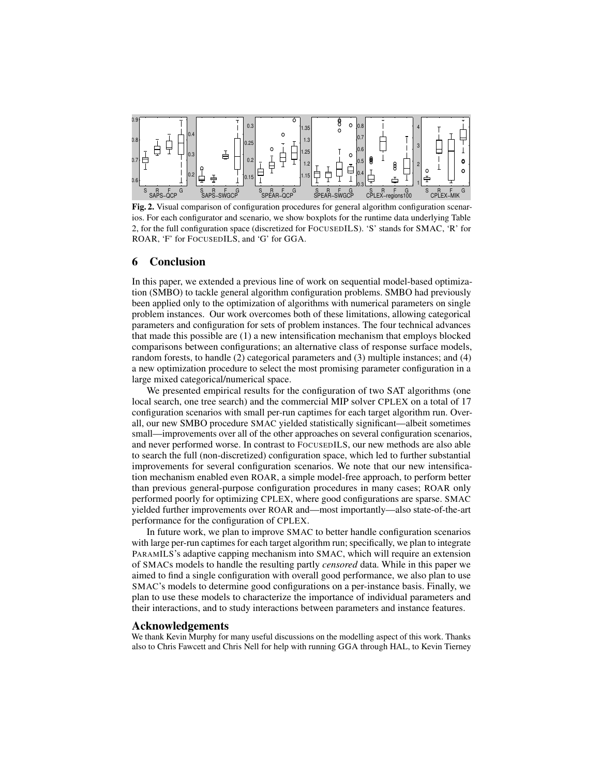

Fig. 2. Visual comparison of configuration procedures for general algorithm configuration scenarios. For each configurator and scenario, we show boxplots for the runtime data underlying Table 2, for the full configuration space (discretized for FOCUSEDILS). 'S' stands for SMAC, 'R' for ROAR, 'F' for FOCUSEDILS, and 'G' for GGA.

#### 6 Conclusion

In this paper, we extended a previous line of work on sequential model-based optimization (SMBO) to tackle general algorithm configuration problems. SMBO had previously been applied only to the optimization of algorithms with numerical parameters on single problem instances. Our work overcomes both of these limitations, allowing categorical parameters and configuration for sets of problem instances. The four technical advances that made this possible are (1) a new intensification mechanism that employs blocked comparisons between configurations; an alternative class of response surface models, random forests, to handle (2) categorical parameters and (3) multiple instances; and (4) a new optimization procedure to select the most promising parameter configuration in a large mixed categorical/numerical space.

We presented empirical results for the configuration of two SAT algorithms (one local search, one tree search) and the commercial MIP solver CPLEX on a total of 17 configuration scenarios with small per-run captimes for each target algorithm run. Overall, our new SMBO procedure SMAC yielded statistically significant—albeit sometimes small—improvements over all of the other approaches on several configuration scenarios, and never performed worse. In contrast to FOCUSEDILS, our new methods are also able to search the full (non-discretized) configuration space, which led to further substantial improvements for several configuration scenarios. We note that our new intensification mechanism enabled even ROAR, a simple model-free approach, to perform better than previous general-purpose configuration procedures in many cases; ROAR only performed poorly for optimizing CPLEX, where good configurations are sparse. SMAC yielded further improvements over ROAR and—most importantly—also state-of-the-art performance for the configuration of CPLEX.

In future work, we plan to improve SMAC to better handle configuration scenarios with large per-run captimes for each target algorithm run; specifically, we plan to integrate PARAMILS's adaptive capping mechanism into SMAC, which will require an extension of SMACs models to handle the resulting partly *censored* data. While in this paper we aimed to find a single configuration with overall good performance, we also plan to use SMAC's models to determine good configurations on a per-instance basis. Finally, we plan to use these models to characterize the importance of individual parameters and their interactions, and to study interactions between parameters and instance features.

## Acknowledgements

We thank Kevin Murphy for many useful discussions on the modelling aspect of this work. Thanks also to Chris Fawcett and Chris Nell for help with running GGA through HAL, to Kevin Tierney